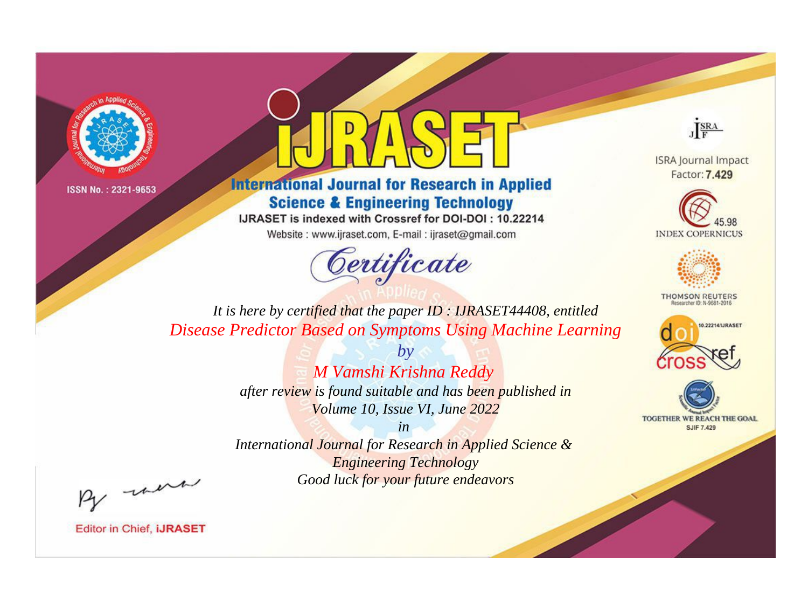



**International Journal for Research in Applied Science & Engineering Technology** 

IJRASET is indexed with Crossref for DOI-DOI: 10.22214

Website: www.ijraset.com, E-mail: ijraset@gmail.com



JERA

**ISRA Journal Impact** Factor: 7.429





**THOMSON REUTERS** 



TOGETHER WE REACH THE GOAL **SJIF 7.429** 

*It is here by certified that the paper ID : IJRASET44408, entitled Disease Predictor Based on Symptoms Using Machine Learning*

> *by M Vamshi Krishna Reddy after review is found suitable and has been published in Volume 10, Issue VI, June 2022*

> > *in*

*International Journal for Research in Applied Science & Engineering Technology Good luck for your future endeavors*

By morn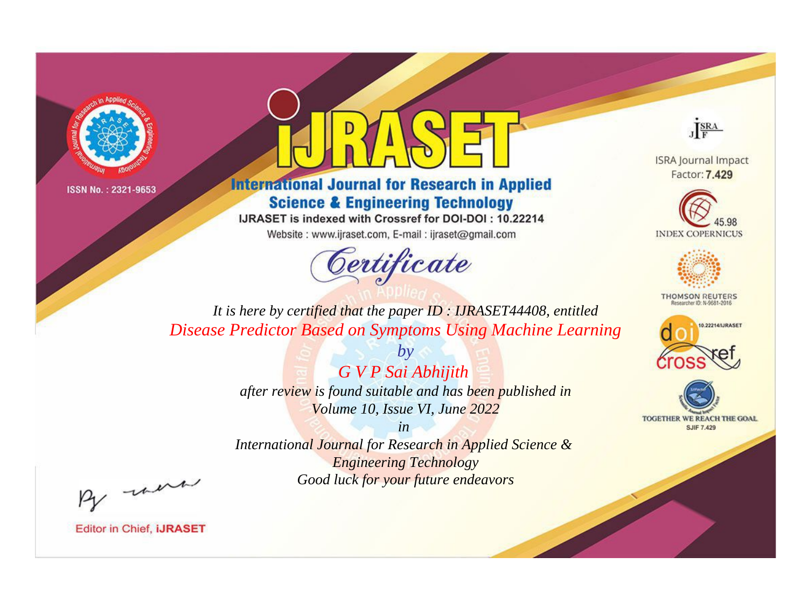



**International Journal for Research in Applied Science & Engineering Technology** 

IJRASET is indexed with Crossref for DOI-DOI: 10.22214

Website: www.ijraset.com, E-mail: ijraset@gmail.com



JERA

**ISRA Journal Impact** Factor: 7.429





**THOMSON REUTERS** 



TOGETHER WE REACH THE GOAL **SJIF 7.429** 

*It is here by certified that the paper ID : IJRASET44408, entitled Disease Predictor Based on Symptoms Using Machine Learning*

> *by G V P Sai Abhijith*

*after review is found suitable and has been published in Volume 10, Issue VI, June 2022*

*in* 

*International Journal for Research in Applied Science & Engineering Technology Good luck for your future endeavors*

By morn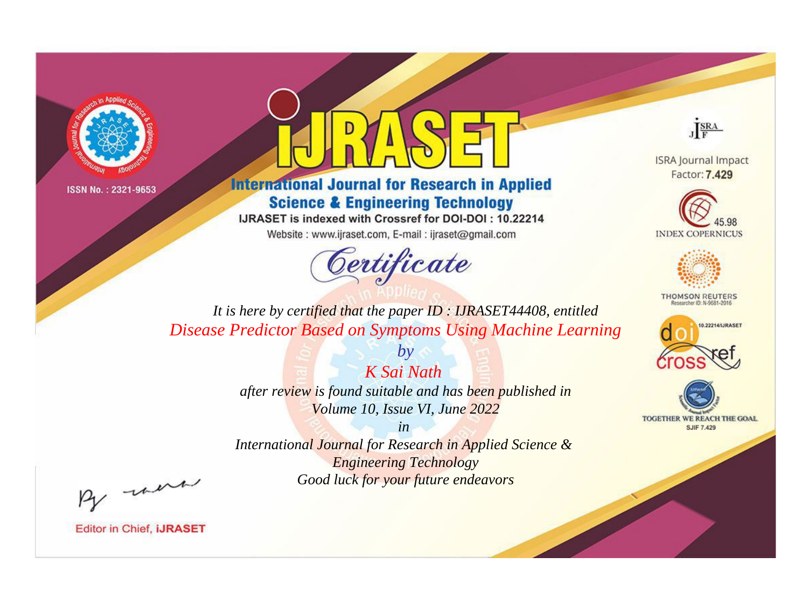



**International Journal for Research in Applied Science & Engineering Technology** 

IJRASET is indexed with Crossref for DOI-DOI: 10.22214

Website: www.ijraset.com, E-mail: ijraset@gmail.com



JERA

**ISRA Journal Impact** Factor: 7.429





**THOMSON REUTERS** 



TOGETHER WE REACH THE GOAL **SJIF 7.429** 

*It is here by certified that the paper ID : IJRASET44408, entitled Disease Predictor Based on Symptoms Using Machine Learning*

> *K Sai Nath after review is found suitable and has been published in Volume 10, Issue VI, June 2022*

*by*

*in* 

*International Journal for Research in Applied Science & Engineering Technology Good luck for your future endeavors*

By morn